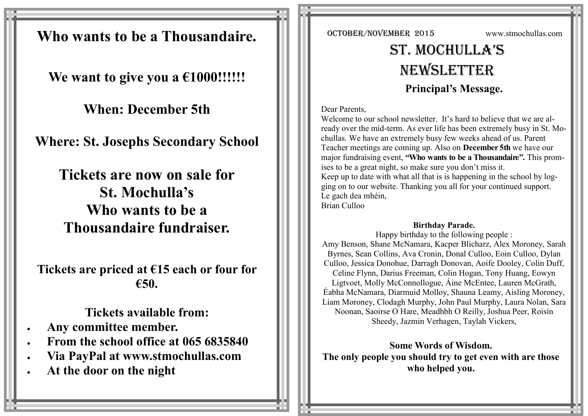**Who wants to be a Thousandaire.**

**We want to give you a €1000!!!!!!** 

**When: December 5th** 

**Where: St. Josephs Secondary School**

**Tickets are now on sale for St. Mochulla's Who wants to be a Thousandaire fundraiser.**

**Tickets are priced at €15 each or four for €50.**

**Tickets available from:**

- **Any committee member.**
- **From the school office at 065 6835840**
- **Via PayPal at www.stmochullas.com**
- **At the door on the night**

OCTOBER/NOVEMBER 2015 www.stmochullas.com

# St. Mochulla'S **NEWSLETTER Principal's Message.**

Dear Parents,

Welcome to our school newsletter. It's hard to believe that we are already over the mid-term. As ever life has been extremely busy in St. Mochullas. We have an extremely busy few weeks ahead of us. Parent Teacher meetings are coming up. Also on **December 5th** we have our major fundraising event, **"Who wants to be a Thousandaire".** This promises to be a great night, so make sure you don't miss it. Keep up to date with what all that is is happening in the school by logging on to our website. Thanking you all for your continued support. Le gach dea mhéin, Brian Culloo

# **Birthday Parade.**

Happy birthday to the following people : Amy Benson, Shane McNamara, Kacper Blicharz, Alex Moroney, Sarah Byrnes, Sean Collins, Ava Cronin, Donal Culloo, Eoin Culloo, Dylan Culloo, Jessica Donohue, Darragh Donovan, Aoife Dooley, Colin Duff, Celine Flynn, Darius Freeman, Colin Hogan, Tony Huang, Eowyn Ligtvoet, Molly McConnollogue, Áine McEntee, Lauren McGrath, Éabha McNamara, Diarmuid Molloy, Shauna Leamy, Aisling Moroney, Liam Moroney, Clodagh Murphy, John Paul Murphy, Laura Nolan, Sara Noonan, Saoirse O Hare, Meadhbh O Reilly, Joshua Peer, Roisín Sheedy, Jazmin Verhagen, Taylah Vickers,

**Some Words of Wisdom. The only people you should try to get even with are those who helped you.**